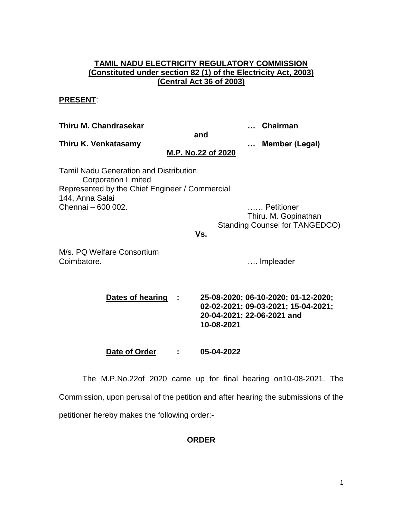## **TAMIL NADU ELECTRICITY REGULATORY COMMISSION (Constituted under section 82 (1) of the Electricity Act, 2003) (Central Act 36 of 2003)**

## **PRESENT**:

**Thiru M. Chandrasekar … Chairman and Thiru K. Venkatasamy … Member (Legal) M.P. No.22 of 2020** Tamil Nadu Generation and Distribution Corporation Limited Represented by the Chief Engineer / Commercial 144, Anna Salai Chennai – 600 002. …… Petitioner Thiru. M. Gopinathan Standing Counsel for TANGEDCO) **Vs.** M/s. PQ Welfare Consortium Coimbatore. **Example 20** Coimbatore. **Dates of hearing : 25-08-2020; 06-10-2020; 01-12-2020; 02-02-2021; 09-03-2021; 15-04-2021; 20-04-2021; 22-06-2021 and 10-08-2021**

**Date of Order : 05-04-2022**

The M.P.No.22of 2020 came up for final hearing on10-08-2021. The Commission, upon perusal of the petition and after hearing the submissions of the petitioner hereby makes the following order:-

## **ORDER**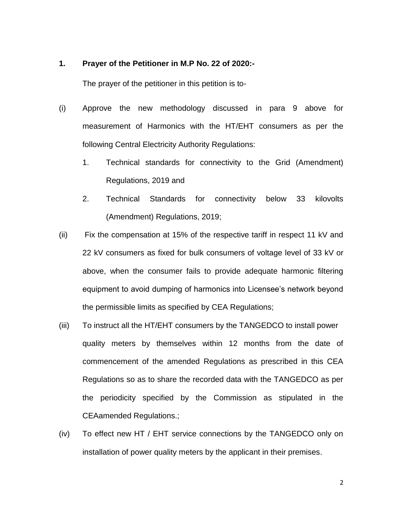#### **1. Prayer of the Petitioner in M.P No. 22 of 2020:-**

The prayer of the petitioner in this petition is to-

- (i) Approve the new methodology discussed in para 9 above for measurement of Harmonics with the HT/EHT consumers as per the following Central Electricity Authority Regulations:
	- 1. Technical standards for connectivity to the Grid (Amendment) Regulations, 2019 and
	- 2. Technical Standards for connectivity below 33 kilovolts (Amendment) Regulations, 2019;
- (ii) Fix the compensation at 15% of the respective tariff in respect 11 kV and 22 kV consumers as fixed for bulk consumers of voltage level of 33 kV or above, when the consumer fails to provide adequate harmonic filtering equipment to avoid dumping of harmonics into Licensee's network beyond the permissible limits as specified by CEA Regulations;
- (iii) To instruct all the HT/EHT consumers by the TANGEDCO to install power quality meters by themselves within 12 months from the date of commencement of the amended Regulations as prescribed in this CEA Regulations so as to share the recorded data with the TANGEDCO as per the periodicity specified by the Commission as stipulated in the CEAamended Regulations.;
- (iv) To effect new HT / EHT service connections by the TANGEDCO only on installation of power quality meters by the applicant in their premises.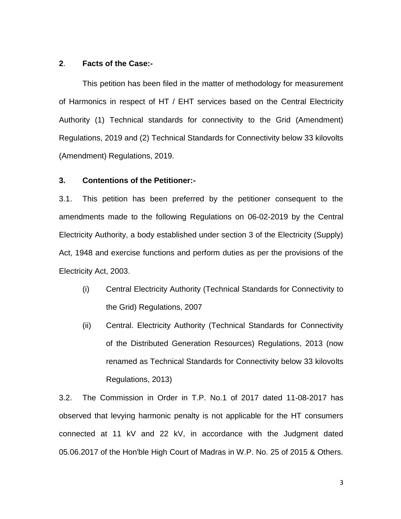### **2**. **Facts of the Case:-**

This petition has been filed in the matter of methodology for measurement of Harmonics in respect of HT / EHT services based on the Central Electricity Authority (1) Technical standards for connectivity to the Grid (Amendment) Regulations, 2019 and (2) Technical Standards for Connectivity below 33 kilovolts (Amendment) Regulations, 2019.

### **3. Contentions of the Petitioner:-**

3.1. This petition has been preferred by the petitioner consequent to the amendments made to the following Regulations on 06-02-2019 by the Central Electricity Authority, a body established under section 3 of the Electricity (Supply) Act, 1948 and exercise functions and perform duties as per the provisions of the Electricity Act, 2003.

- (i) Central Electricity Authority (Technical Standards for Connectivity to the Grid) Regulations, 2007
- (ii) Central. Electricity Authority (Technical Standards for Connectivity of the Distributed Generation Resources) Regulations, 2013 (now renamed as Technical Standards for Connectivity below 33 kilovolts Regulations, 2013)

3.2. The Commission in Order in T.P. No.1 of 2017 dated 11-08-2017 has observed that levying harmonic penalty is not applicable for the HT consumers connected at 11 kV and 22 kV, in accordance with the Judgment dated 05.06.2017 of the Hon'ble High Court of Madras in W.P. No. 25 of 2015 & Others.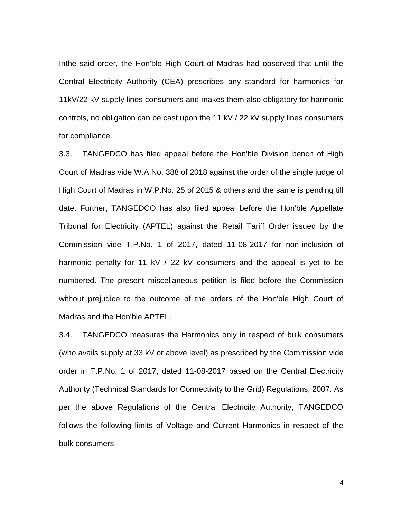Inthe said order, the Hon'ble High Court of Madras had observed that until the Central Electricity Authority (CEA) prescribes any standard for harmonics for 11kV/22 kV supply lines consumers and makes them also obligatory for harmonic controls, no obligation can be cast upon the 11 kV / 22 kV supply lines consumers for compliance.

3.3. TANGEDCO has filed appeal before the Hon'ble Division bench of High Court of Madras vide W.A.No. 388 of 2018 against the order of the single judge of High Court of Madras in W.P.No. 25 of 2015 & others and the same is pending till date. Further, TANGEDCO has also filed appeal before the Hon'ble Appellate Tribunal for Electricity (APTEL) against the Retail Tariff Order issued by the Commission vide T.P.No. 1 of 2017, dated 11-08-2017 for non-inclusion of harmonic penalty for 11 kV / 22 kV consumers and the appeal is yet to be numbered. The present miscellaneous petition is filed before the Commission without prejudice to the outcome of the orders of the Hon'ble High Court of Madras and the Hon'ble APTEL.

3.4. TANGEDCO measures the Harmonics only in respect of bulk consumers (who avails supply at 33 kV or above level) as prescribed by the Commission vide order in T.P.No. 1 of 2017, dated 11-08-2017 based on the Central Electricity Authority (Technical Standards for Connectivity to the Grid) Regulations, 2007. As per the above Regulations of the Central Electricity Authority, TANGEDCO follows the following limits of Voltage and Current Harmonics in respect of the bulk consumers: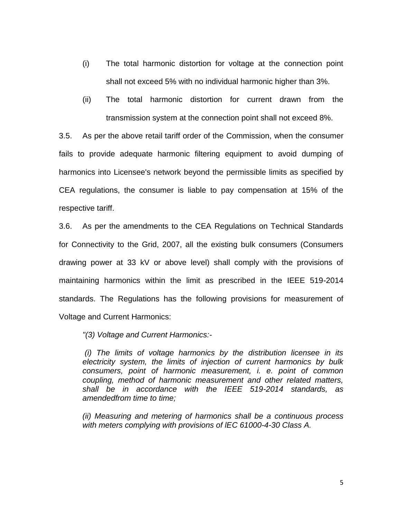- (i) The total harmonic distortion for voltage at the connection point shall not exceed 5% with no individual harmonic higher than 3%.
- (ii) The total harmonic distortion for current drawn from the transmission system at the connection point shall not exceed 8%.

3.5. As per the above retail tariff order of the Commission, when the consumer fails to provide adequate harmonic filtering equipment to avoid dumping of harmonics into Licensee's network beyond the permissible limits as specified by CEA regulations, the consumer is liable to pay compensation at 15% of the respective tariff.

3.6. As per the amendments to the CEA Regulations on Technical Standards for Connectivity to the Grid, 2007, all the existing bulk consumers (Consumers drawing power at 33 kV or above level) shall comply with the provisions of maintaining harmonics within the limit as prescribed in the IEEE 519-2014 standards. The Regulations has the following provisions for measurement of Voltage and Current Harmonics:

*"(3) Voltage and Current Harmonics:-*

*(i) The limits of voltage harmonics by the distribution licensee in its electricity system, the limits of injection of current harmonics by bulk consumers, point of harmonic measurement, i. e. point of common coupling, method of harmonic measurement and other related matters, shall be in accordance with the IEEE 519-2014 standards, as amendedfrom time to time;* 

*(ii) Measuring and metering of harmonics shall be a continuous process with meters complying with provisions of lEC 61000-4-30 Class A.*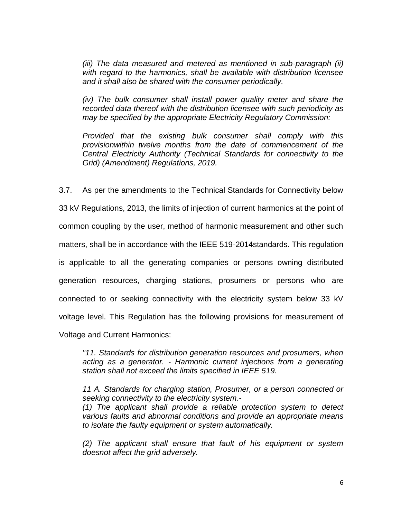*(iii) The data measured and metered as mentioned in sub-paragraph (ii) with regard to the harmonics, shall be available with distribution licensee and it shall also be shared with the consumer periodically.* 

*(iv) The bulk consumer shall install power quality meter and share the recorded data thereof with the distribution licensee with such periodicity as may be specified by the appropriate Electricity Regulatory Commission:* 

*Provided that the existing bulk consumer shall comply with this provisionwithin twelve months from the date of commencement of the Central Electricity Authority (Technical Standards for connectivity to the Grid) (Amendment) Regulations, 2019.* 

3.7. As per the amendments to the Technical Standards for Connectivity below 33 kV Regulations, 2013, the limits of injection of current harmonics at the point of common coupling by the user, method of harmonic measurement and other such matters, shall be in accordance with the IEEE 519-2014standards. This regulation is applicable to all the generating companies or persons owning distributed generation resources, charging stations, prosumers or persons who are connected to or seeking connectivity with the electricity system below 33 kV voltage level. This Regulation has the following provisions for measurement of

Voltage and Current Harmonics:

*"11. Standards for distribution generation resources and prosumers, when acting as a generator. - Harmonic current injections from a generating station shall not exceed the limits specified in IEEE 519.* 

*11 A. Standards for charging station, Prosumer, or a person connected or seeking connectivity to the electricity system.-*

*(1) The applicant shall provide a reliable protection system to detect various faults and abnormal conditions and provide an appropriate means to isolate the faulty equipment or system automatically.* 

*(2) The applicant shall ensure that fault of his equipment or system doesnot affect the grid adversely.*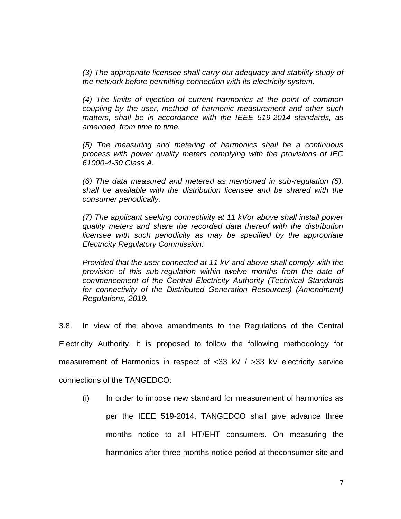*(3) The appropriate licensee shall carry out adequacy and stability study of the network before permitting connection with its electricity system.* 

*(4) The limits of injection of current harmonics at the point of common coupling by the user, method of harmonic measurement and other such matters, shall be in accordance with the IEEE 519-2014 standards, as amended, from time to time.* 

*(5) The measuring and metering of harmonics shall be a continuous process with power quality meters complying with the provisions of IEC 61000-4-30 Class A.* 

*(6) The data measured and metered as mentioned in sub-regulation (5), shall be available with the distribution licensee and be shared with the consumer periodically.* 

*(7) The applicant seeking connectivity at 11 kVor above shall install power quality meters and share the recorded data thereof with the distribution licensee with such periodicity as may be specified by the appropriate Electricity Regulatory Commission:* 

*Provided that the user connected at 11 kV and above shall comply with the provision of this sub-regulation within twelve months from the date of commencement of the Central Electricity Authority (Technical Standards for connectivity of the Distributed Generation Resources) (Amendment) Regulations, 2019.*

3.8. In view of the above amendments to the Regulations of the Central Electricity Authority, it is proposed to follow the following methodology for measurement of Harmonics in respect of <33 kV / >33 kV electricity service connections of the TANGEDCO:

(i) In order to impose new standard for measurement of harmonics as per the IEEE 519-2014, TANGEDCO shall give advance three months notice to all HT/EHT consumers. On measuring the harmonics after three months notice period at theconsumer site and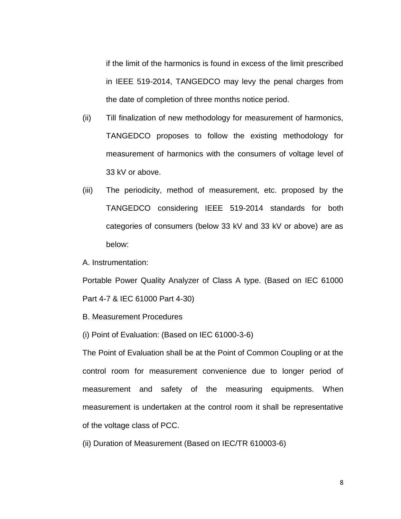if the limit of the harmonics is found in excess of the limit prescribed in IEEE 519-2014, TANGEDCO may levy the penal charges from the date of completion of three months notice period.

- (ii) Till finalization of new methodology for measurement of harmonics, TANGEDCO proposes to follow the existing methodology for measurement of harmonics with the consumers of voltage level of 33 kV or above.
- (iii) The periodicity, method of measurement, etc. proposed by the TANGEDCO considering IEEE 519-2014 standards for both categories of consumers (below 33 kV and 33 kV or above) are as below:

A. Instrumentation:

Portable Power Quality Analyzer of Class A type. (Based on IEC 61000 Part 4-7 & IEC 61000 Part 4-30)

- B. Measurement Procedures
- (i) Point of Evaluation: (Based on IEC 61000-3-6)

The Point of Evaluation shall be at the Point of Common Coupling or at the control room for measurement convenience due to longer period of measurement and safety of the measuring equipments. When measurement is undertaken at the control room it shall be representative of the voltage class of PCC.

(ii) Duration of Measurement (Based on IEC/TR 610003-6)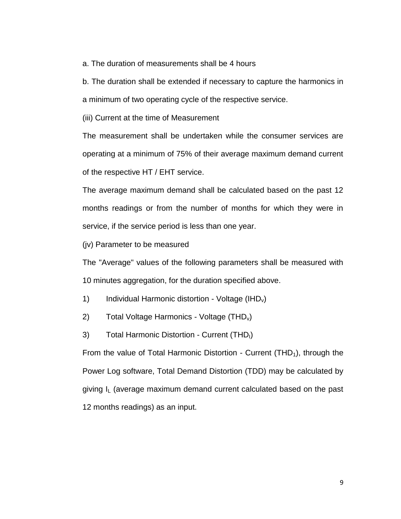a. The duration of measurements shall be 4 hours

b. The duration shall be extended if necessary to capture the harmonics in a minimum of two operating cycle of the respective service.

(iii) Current at the time of Measurement

The measurement shall be undertaken while the consumer services are operating at a minimum of 75% of their average maximum demand current of the respective HT / EHT service.

The average maximum demand shall be calculated based on the past 12 months readings or from the number of months for which they were in service, if the service period is less than one year.

(jv) Parameter to be measured

The "Average" values of the following parameters shall be measured with 10 minutes aggregation, for the duration specified above.

- 1) Individual Harmonic distortion Voltage (IHD<sub>v</sub>)
- 2) Total Voltage Harmonics Voltage  $(THD_v)$
- 3) Total Harmonic Distortion Current (THD<sub>I</sub>)

From the value of Total Harmonic Distortion - Current  $(THD<sub>1</sub>)$ , through the Power Log software, Total Demand Distortion (TDD) may be calculated by giving  $I_L$  (average maximum demand current calculated based on the past 12 months readings) as an input.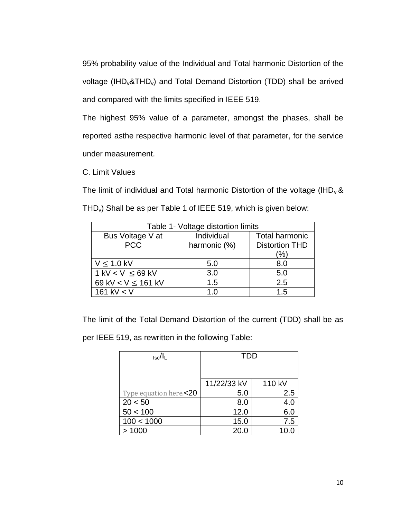95% probability value of the Individual and Total harmonic Distortion of the voltage (IHD<sub>v</sub>&THD<sub>v</sub>) and Total Demand Distortion (TDD) shall be arrived and compared with the limits specified in IEEE 519.

The highest 95% value of a parameter, amongst the phases, shall be reported asthe respective harmonic level of that parameter, for the service under measurement.

C. Limit Values

The limit of individual and Total harmonic Distortion of the voltage (IHD<sub>v</sub> &  $THD<sub>v</sub>$ ) Shall be as per Table 1 of IEEE 519, which is given below:

| Table 1- Voltage distortion limits |              |                       |  |
|------------------------------------|--------------|-----------------------|--|
| Bus Voltage V at                   | Individual   | <b>Total harmonic</b> |  |
| <b>PCC</b>                         | harmonic (%) | <b>Distortion THD</b> |  |
|                                    |              | (%)                   |  |
| $V \leq 1.0$ kV                    | 5.0          | 8.0                   |  |
| $1$ kV < V $\leq$ 69 kV            | 3.0          | 5.0                   |  |
| 69 kV < $V \le 161$ kV             | 1.5          | 2.5                   |  |
| 161 kV $<$ V                       | 1 በ          | 1.5                   |  |

The limit of the Total Demand Distortion of the current (TDD) shall be as

per IEEE 519, as rewritten in the following Table:

| $_{\rm Isc}/I_{\rm L}$ | <b>TDD</b>  |        |
|------------------------|-------------|--------|
|                        |             |        |
|                        | 11/22/33 kV | 110 kV |
| Type equation here.<20 | 5.0         | 2.5    |
| 20 < 50                | 8.0         | 4.0    |
| 50 < 100               | 12.0        | 6.0    |
| 100 < 1000             | 15.0        | 7.5    |
| >1000                  | 20.0        | 10.0   |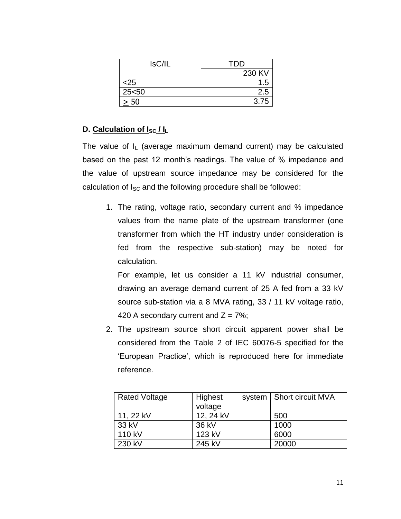| IsC/IL | <b>TDD</b> |
|--------|------------|
|        | 230 KV     |
| $<$ 25 | 1.5        |
| 25< 50 | 2.5        |
| 50     | 3.75       |

# **D.** Calculation of  $I_{SC}/I_L$

The value of  $I_L$  (average maximum demand current) may be calculated based on the past 12 month's readings. The value of % impedance and the value of upstream source impedance may be considered for the calculation of  $I_{SC}$  and the following procedure shall be followed:

1. The rating, voltage ratio, secondary current and % impedance values from the name plate of the upstream transformer (one transformer from which the HT industry under consideration is fed from the respective sub-station) may be noted for calculation.

For example, let us consider a 11 kV industrial consumer, drawing an average demand current of 25 A fed from a 33 kV source sub-station via a 8 MVA rating, 33 / 11 kV voltage ratio, 420 A secondary current and  $Z = 7\%$ ;

2. The upstream source short circuit apparent power shall be considered from the Table 2 of IEC 60076-5 specified for the 'European Practice', which is reproduced here for immediate reference.

| <b>Rated Voltage</b> | Highest<br>voltage | system   Short circuit MVA |
|----------------------|--------------------|----------------------------|
| 11, 22 kV            | 12, 24 kV          | 500                        |
| 33 kV                | 36 kV              | 1000                       |
| 110 kV               | 123 kV             | 6000                       |
| 230 kV               | 245 kV             | 20000                      |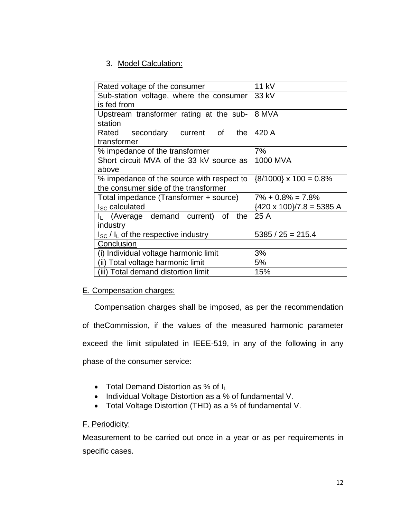# 3. Model Calculation:

| Rated voltage of the consumer                         | 11 kV                           |
|-------------------------------------------------------|---------------------------------|
| Sub-station voltage, where the consumer 33 kV         |                                 |
| is fed from                                           |                                 |
| Upstream transformer rating at the sub- $\vert$ 8 MVA |                                 |
| station                                               |                                 |
| Rated secondary current<br>the<br>of                  | 420 A                           |
| transformer                                           |                                 |
| % impedance of the transformer                        | 7%                              |
| Short circuit MVA of the 33 kV source as l            | 1000 MVA                        |
| above                                                 |                                 |
| % impedance of the source with respect to             | ${8/1000} \times 100 = 0.8\%$   |
| the consumer side of the transformer                  |                                 |
| Total impedance (Transformer + source)                | $7\% + 0.8\% = 7.8\%$           |
| I <sub>SC</sub> calculated                            | ${420 \times 100}/7.8 = 5385$ A |
| $I_L$ (Average demand current)<br>the<br>of           | 25 A                            |
| industry                                              |                                 |
| $I_{SC}$ / $I_L$ of the respective industry           | $5385 / 25 = 215.4$             |
| Conclusion                                            |                                 |
| (i) Individual voltage harmonic limit                 | 3%                              |
| (ii) Total voltage harmonic limit                     | 5%                              |
| (iii) Total demand distortion limit                   | 15%                             |

## E. Compensation charges:

Compensation charges shall be imposed, as per the recommendation of theCommission, if the values of the measured harmonic parameter exceed the limit stipulated in IEEE-519, in any of the following in any phase of the consumer service:

- Total Demand Distortion as % of IL
- Individual Voltage Distortion as a % of fundamental V.
- Total Voltage Distortion (THD) as a % of fundamental V.

## F. Periodicity:

Measurement to be carried out once in a year or as per requirements in specific cases.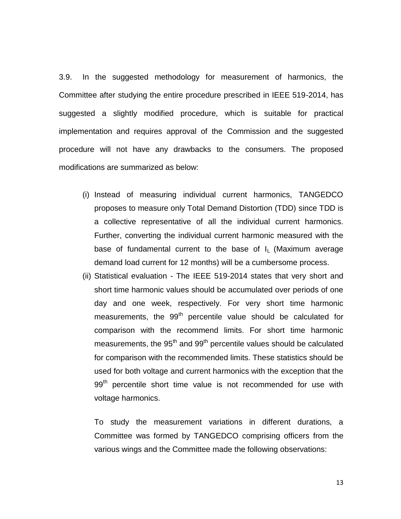3.9. In the suggested methodology for measurement of harmonics, the Committee after studying the entire procedure prescribed in IEEE 519-2014, has suggested a slightly modified procedure, which is suitable for practical implementation and requires approval of the Commission and the suggested procedure will not have any drawbacks to the consumers. The proposed modifications are summarized as below:

- (i) Instead of measuring individual current harmonics, TANGEDCO proposes to measure only Total Demand Distortion (TDD) since TDD is a collective representative of all the individual current harmonics. Further, converting the individual current harmonic measured with the base of fundamental current to the base of  $I<sub>L</sub>$  (Maximum average demand load current for 12 months) will be a cumbersome process.
- (ii) Statistical evaluation The IEEE 519-2014 states that very short and short time harmonic values should be accumulated over periods of one day and one week, respectively. For very short time harmonic measurements, the 99<sup>th</sup> percentile value should be calculated for comparison with the recommend limits. For short time harmonic measurements, the  $95<sup>th</sup>$  and  $99<sup>th</sup>$  percentile values should be calculated for comparison with the recommended limits. These statistics should be used for both voltage and current harmonics with the exception that the 99<sup>th</sup> percentile short time value is not recommended for use with voltage harmonics.

To study the measurement variations in different durations, a Committee was formed by TANGEDCO comprising officers from the various wings and the Committee made the following observations: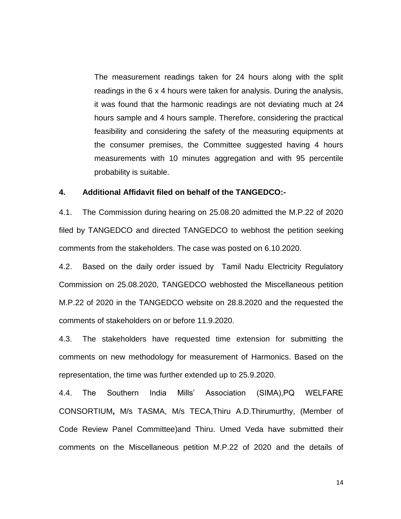The measurement readings taken for 24 hours along with the split readings in the 6 x 4 hours were taken for analysis. During the analysis, it was found that the harmonic readings are not deviating much at 24 hours sample and 4 hours sample. Therefore, considering the practical feasibility and considering the safety of the measuring equipments at the consumer premises, the Committee suggested having 4 hours measurements with 10 minutes aggregation and with 95 percentile probability is suitable.

### **4. Additional Affidavit filed on behalf of the TANGEDCO:-**

4.1. The Commission during hearing on 25.08.20 admitted the M.P.22 of 2020 filed by TANGEDCO and directed TANGEDCO to webhost the petition seeking comments from the stakeholders. The case was posted on 6.10.2020.

4.2. Based on the daily order issued by Tamil Nadu Electricity Regulatory Commission on 25.08.2020, TANGEDCO webhosted the Miscellaneous petition M.P.22 of 2020 in the TANGEDCO website on 28.8.2020 and the requested the comments of stakeholders on or before 11.9.2020.

4.3. The stakeholders have requested time extension for submitting the comments on new methodology for measurement of Harmonics. Based on the representation, the time was further extended up to 25.9.2020.

4.4. The Southern India Mills' Association (SIMA),PQ WELFARE CONSORTIUM**,** M/s TASMA, M/s TECA,Thiru A.D.Thirumurthy, (Member of Code Review Panel Committee)and Thiru. Umed Veda have submitted their comments on the Miscellaneous petition M.P.22 of 2020 and the details of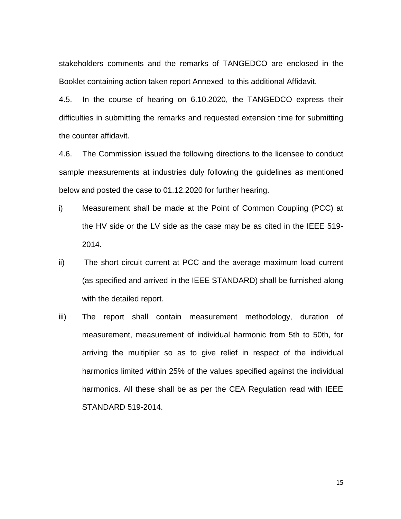stakeholders comments and the remarks of TANGEDCO are enclosed in the Booklet containing action taken report Annexed to this additional Affidavit.

4.5. In the course of hearing on 6.10.2020, the TANGEDCO express their difficulties in submitting the remarks and requested extension time for submitting the counter affidavit.

4.6. The Commission issued the following directions to the licensee to conduct sample measurements at industries duly following the guidelines as mentioned below and posted the case to 01.12.2020 for further hearing.

- i) Measurement shall be made at the Point of Common Coupling (PCC) at the HV side or the LV side as the case may be as cited in the IEEE 519- 2014.
- ii) The short circuit current at PCC and the average maximum load current (as specified and arrived in the IEEE STANDARD) shall be furnished along with the detailed report.
- iii) The report shall contain measurement methodology, duration of measurement, measurement of individual harmonic from 5th to 50th, for arriving the multiplier so as to give relief in respect of the individual harmonics limited within 25% of the values specified against the individual harmonics. All these shall be as per the CEA Regulation read with IEEE STANDARD 519-2014.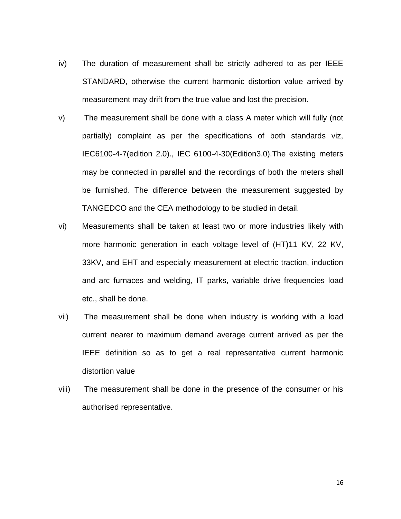- iv) The duration of measurement shall be strictly adhered to as per IEEE STANDARD, otherwise the current harmonic distortion value arrived by measurement may drift from the true value and lost the precision.
- v) The measurement shall be done with a class A meter which will fully (not partially) complaint as per the specifications of both standards viz, IEC6100-4-7(edition 2.0)., IEC 6100-4-30(Edition3.0).The existing meters may be connected in parallel and the recordings of both the meters shall be furnished. The difference between the measurement suggested by TANGEDCO and the CEA methodology to be studied in detail.
- vi) Measurements shall be taken at least two or more industries likely with more harmonic generation in each voltage level of (HT)11 KV, 22 KV, 33KV, and EHT and especially measurement at electric traction, induction and arc furnaces and welding, IT parks, variable drive frequencies load etc., shall be done.
- vii) The measurement shall be done when industry is working with a load current nearer to maximum demand average current arrived as per the IEEE definition so as to get a real representative current harmonic distortion value
- viii) The measurement shall be done in the presence of the consumer or his authorised representative.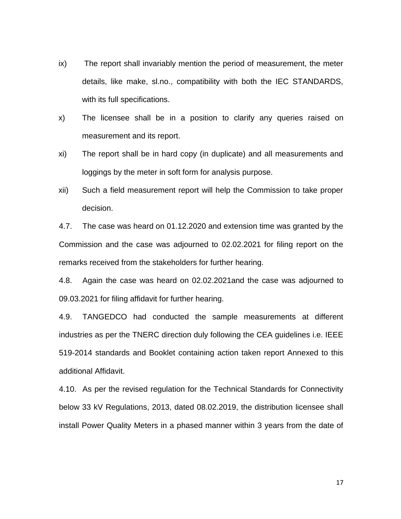- ix) The report shall invariably mention the period of measurement, the meter details, like make, sl.no., compatibility with both the IEC STANDARDS, with its full specifications.
- x) The licensee shall be in a position to clarify any queries raised on measurement and its report.
- xi) The report shall be in hard copy (in duplicate) and all measurements and loggings by the meter in soft form for analysis purpose.
- xii) Such a field measurement report will help the Commission to take proper decision.

4.7. The case was heard on 01.12.2020 and extension time was granted by the Commission and the case was adjourned to 02.02.2021 for filing report on the remarks received from the stakeholders for further hearing.

4.8. Again the case was heard on 02.02.2021and the case was adjourned to 09.03.2021 for filing affidavit for further hearing.

4.9. TANGEDCO had conducted the sample measurements at different industries as per the TNERC direction duly following the CEA guidelines i.e. IEEE 519-2014 standards and Booklet containing action taken report Annexed to this additional Affidavit.

4.10. As per the revised regulation for the Technical Standards for Connectivity below 33 kV Regulations, 2013, dated 08.02.2019, the distribution licensee shall install Power Quality Meters in a phased manner within 3 years from the date of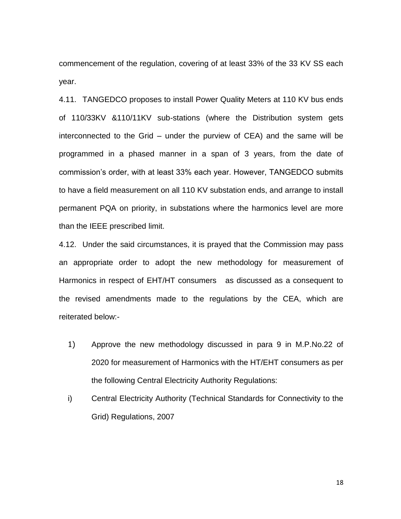commencement of the regulation, covering of at least 33% of the 33 KV SS each year.

4.11. TANGEDCO proposes to install Power Quality Meters at 110 KV bus ends of 110/33KV &110/11KV sub-stations (where the Distribution system gets interconnected to the Grid – under the purview of CEA) and the same will be programmed in a phased manner in a span of 3 years, from the date of commission's order, with at least 33% each year. However, TANGEDCO submits to have a field measurement on all 110 KV substation ends, and arrange to install permanent PQA on priority, in substations where the harmonics level are more than the IEEE prescribed limit.

4.12. Under the said circumstances, it is prayed that the Commission may pass an appropriate order to adopt the new methodology for measurement of Harmonics in respect of EHT/HT consumers as discussed as a consequent to the revised amendments made to the regulations by the CEA, which are reiterated below:-

- 1) Approve the new methodology discussed in para 9 in M.P.No.22 of 2020 for measurement of Harmonics with the HT/EHT consumers as per the following Central Electricity Authority Regulations:
- i) Central Electricity Authority (Technical Standards for Connectivity to the Grid) Regulations, 2007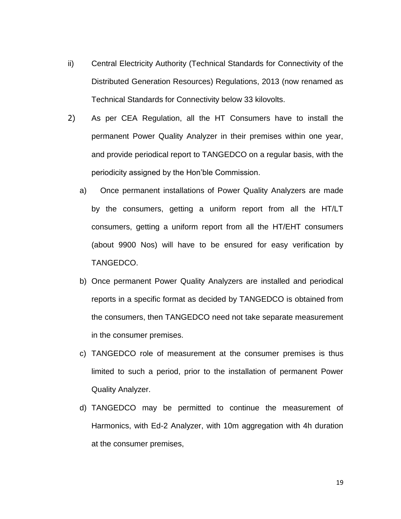- ii) Central Electricity Authority (Technical Standards for Connectivity of the Distributed Generation Resources) Regulations, 2013 (now renamed as Technical Standards for Connectivity below 33 kilovolts.
- 2) As per CEA Regulation, all the HT Consumers have to install the permanent Power Quality Analyzer in their premises within one year, and provide periodical report to TANGEDCO on a regular basis, with the periodicity assigned by the Hon'ble Commission.
	- a) Once permanent installations of Power Quality Analyzers are made by the consumers, getting a uniform report from all the HT/LT consumers, getting a uniform report from all the HT/EHT consumers (about 9900 Nos) will have to be ensured for easy verification by TANGEDCO.
	- b) Once permanent Power Quality Analyzers are installed and periodical reports in a specific format as decided by TANGEDCO is obtained from the consumers, then TANGEDCO need not take separate measurement in the consumer premises.
	- c) TANGEDCO role of measurement at the consumer premises is thus limited to such a period, prior to the installation of permanent Power Quality Analyzer.
	- d) TANGEDCO may be permitted to continue the measurement of Harmonics, with Ed-2 Analyzer, with 10m aggregation with 4h duration at the consumer premises,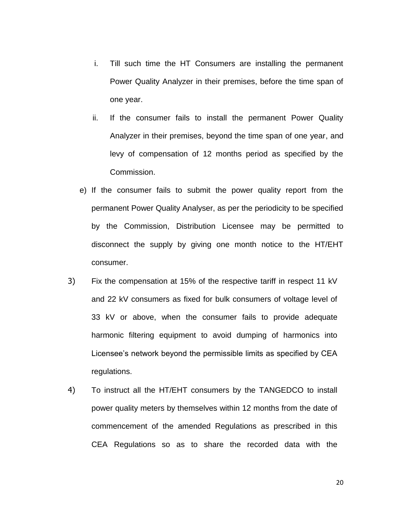- i. Till such time the HT Consumers are installing the permanent Power Quality Analyzer in their premises, before the time span of one year.
- ii. If the consumer fails to install the permanent Power Quality Analyzer in their premises, beyond the time span of one year, and levy of compensation of 12 months period as specified by the Commission.
- e) If the consumer fails to submit the power quality report from the permanent Power Quality Analyser, as per the periodicity to be specified by the Commission, Distribution Licensee may be permitted to disconnect the supply by giving one month notice to the HT/EHT consumer.
- 3) Fix the compensation at 15% of the respective tariff in respect 11 kV and 22 kV consumers as fixed for bulk consumers of voltage level of 33 kV or above, when the consumer fails to provide adequate harmonic filtering equipment to avoid dumping of harmonics into Licensee's network beyond the permissible limits as specified by CEA regulations.
- 4) To instruct all the HT/EHT consumers by the TANGEDCO to install power quality meters by themselves within 12 months from the date of commencement of the amended Regulations as prescribed in this CEA Regulations so as to share the recorded data with the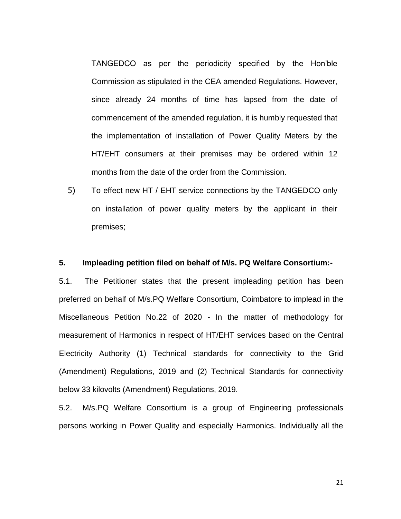TANGEDCO as per the periodicity specified by the Hon'ble Commission as stipulated in the CEA amended Regulations. However, since already 24 months of time has lapsed from the date of commencement of the amended regulation, it is humbly requested that the implementation of installation of Power Quality Meters by the HT/EHT consumers at their premises may be ordered within 12 months from the date of the order from the Commission.

5) To effect new HT / EHT service connections by the TANGEDCO only on installation of power quality meters by the applicant in their premises;

### **5. Impleading petition filed on behalf of M/s. PQ Welfare Consortium:-**

5.1. The Petitioner states that the present impleading petition has been preferred on behalf of M/s.PQ Welfare Consortium, Coimbatore to implead in the Miscellaneous Petition No.22 of 2020 - In the matter of methodology for measurement of Harmonics in respect of HT/EHT services based on the Central Electricity Authority (1) Technical standards for connectivity to the Grid (Amendment) Regulations, 2019 and (2) Technical Standards for connectivity below 33 kilovolts (Amendment) Regulations, 2019.

5.2. M/s.PQ Welfare Consortium is a group of Engineering professionals persons working in Power Quality and especially Harmonics. Individually all the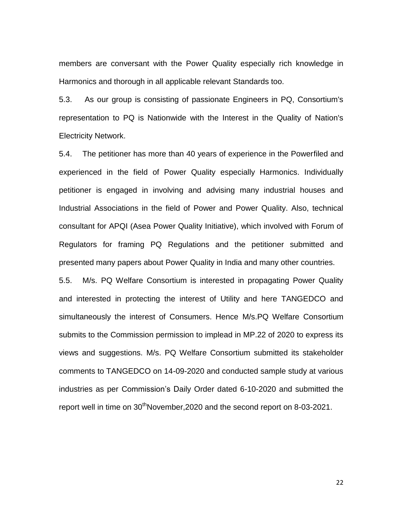members are conversant with the Power Quality especially rich knowledge in Harmonics and thorough in all applicable relevant Standards too.

5.3. As our group is consisting of passionate Engineers in PQ, Consortium's representation to PQ is Nationwide with the Interest in the Quality of Nation's Electricity Network.

5.4. The petitioner has more than 40 years of experience in the Powerfiled and experienced in the field of Power Quality especially Harmonics. Individually petitioner is engaged in involving and advising many industrial houses and Industrial Associations in the field of Power and Power Quality. Also, technical consultant for APQI (Asea Power Quality Initiative), which involved with Forum of Regulators for framing PQ Regulations and the petitioner submitted and presented many papers about Power Quality in India and many other countries.

5.5. M/s. PQ Welfare Consortium is interested in propagating Power Quality and interested in protecting the interest of Utility and here TANGEDCO and simultaneously the interest of Consumers. Hence M/s.PQ Welfare Consortium submits to the Commission permission to implead in MP.22 of 2020 to express its views and suggestions. M/s. PQ Welfare Consortium submitted its stakeholder comments to TANGEDCO on 14-09-2020 and conducted sample study at various industries as per Commission's Daily Order dated 6-10-2020 and submitted the report well in time on  $30<sup>th</sup>$ November, 2020 and the second report on 8-03-2021.